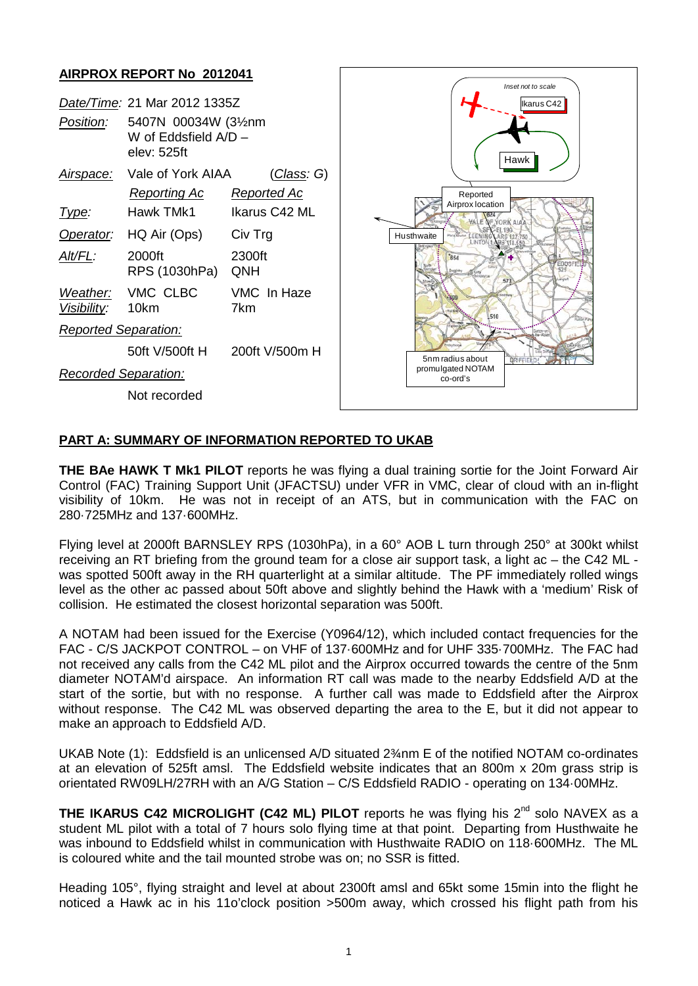### **AIRPROX REPORT No 2012041**



## **PART A: SUMMARY OF INFORMATION REPORTED TO UKAB**

**THE BAe HAWK T Mk1 PILOT** reports he was flying a dual training sortie for the Joint Forward Air Control (FAC) Training Support Unit (JFACTSU) under VFR in VMC, clear of cloud with an in-flight visibility of 10km. He was not in receipt of an ATS, but in communication with the FAC on 280·725MHz and 137·600MHz.

Flying level at 2000ft BARNSLEY RPS (1030hPa), in a 60° AOB L turn through 250° at 300kt whilst receiving an RT briefing from the ground team for a close air support task, a light ac – the C42 ML was spotted 500ft away in the RH quarterlight at a similar altitude. The PF immediately rolled wings level as the other ac passed about 50ft above and slightly behind the Hawk with a 'medium' Risk of collision. He estimated the closest horizontal separation was 500ft.

A NOTAM had been issued for the Exercise (Y0964/12), which included contact frequencies for the FAC - C/S JACKPOT CONTROL – on VHF of 137·600MHz and for UHF 335·700MHz. The FAC had not received any calls from the C42 ML pilot and the Airprox occurred towards the centre of the 5nm diameter NOTAM'd airspace. An information RT call was made to the nearby Eddsfield A/D at the start of the sortie, but with no response. A further call was made to Eddsfield after the Airprox without response. The C42 ML was observed departing the area to the E, but it did not appear to make an approach to Eddsfield A/D.

UKAB Note (1): Eddsfield is an unlicensed A/D situated 2¾nm E of the notified NOTAM co-ordinates at an elevation of 525ft amsl. The Eddsfield website indicates that an 800m x 20m grass strip is orientated RW09LH/27RH with an A/G Station – C/S Eddsfield RADIO - operating on 134·00MHz.

**THE IKARUS C42 MICROLIGHT (C42 ML) PILOT** reports he was flying his 2<sup>nd</sup> solo NAVEX as a student ML pilot with a total of 7 hours solo flying time at that point. Departing from Husthwaite he was inbound to Eddsfield whilst in communication with Husthwaite RADIO on 118·600MHz. The ML is coloured white and the tail mounted strobe was on; no SSR is fitted.

Heading 105°, flying straight and level at about 2300ft amsl and 65kt some 15min into the flight he noticed a Hawk ac in his 11o'clock position >500m away, which crossed his flight path from his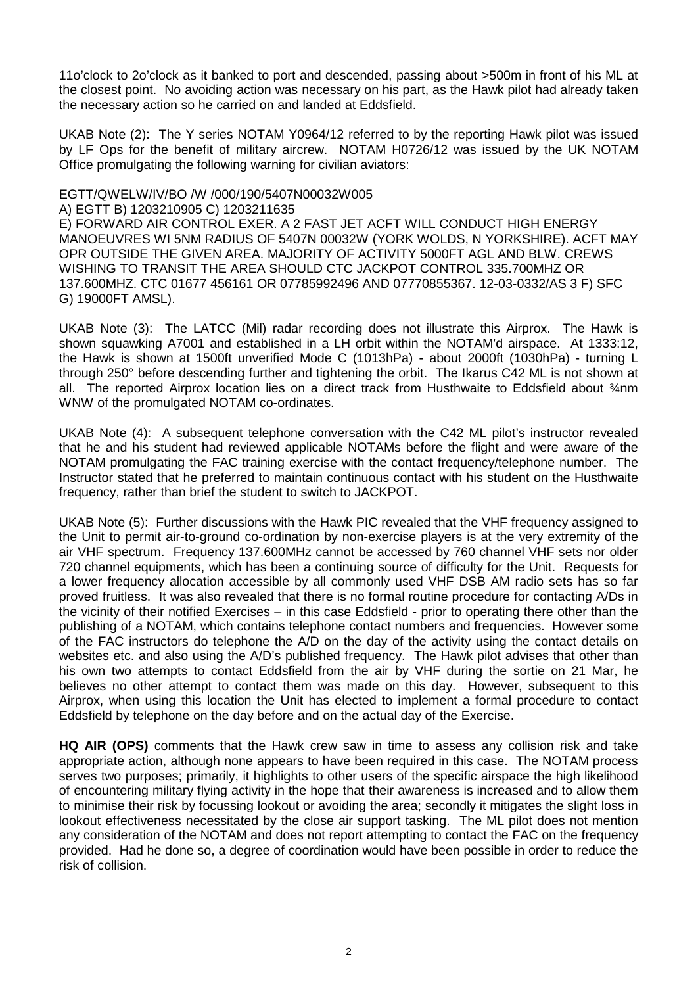11o'clock to 2o'clock as it banked to port and descended, passing about >500m in front of his ML at the closest point. No avoiding action was necessary on his part, as the Hawk pilot had already taken the necessary action so he carried on and landed at Eddsfield.

UKAB Note (2): The Y series NOTAM Y0964/12 referred to by the reporting Hawk pilot was issued by LF Ops for the benefit of military aircrew. NOTAM H0726/12 was issued by the UK NOTAM Office promulgating the following warning for civilian aviators:

### EGTT/QWELW/IV/BO /W /000/190/5407N00032W005

#### A) EGTT B) 1203210905 C) 1203211635

E) FORWARD AIR CONTROL EXER. A 2 FAST JET ACFT WILL CONDUCT HIGH ENERGY MANOEUVRES WI 5NM RADIUS OF 5407N 00032W (YORK WOLDS, N YORKSHIRE). ACFT MAY OPR OUTSIDE THE GIVEN AREA. MAJORITY OF ACTIVITY 5000FT AGL AND BLW. CREWS WISHING TO TRANSIT THE AREA SHOULD CTC JACKPOT CONTROL 335.700MHZ OR 137.600MHZ. CTC 01677 456161 OR 07785992496 AND 07770855367. 12-03-0332/AS 3 F) SFC G) 19000FT AMSL).

UKAB Note (3): The LATCC (Mil) radar recording does not illustrate this Airprox. The Hawk is shown squawking A7001 and established in a LH orbit within the NOTAM'd airspace. At 1333:12, the Hawk is shown at 1500ft unverified Mode C (1013hPa) - about 2000ft (1030hPa) - turning L through 250° before descending further and tightening the orbit. The Ikarus C42 ML is not shown at all. The reported Airprox location lies on a direct track from Husthwaite to Eddsfield about  $\frac{3}{4}$ nm WNW of the promulgated NOTAM co-ordinates.

UKAB Note (4): A subsequent telephone conversation with the C42 ML pilot's instructor revealed that he and his student had reviewed applicable NOTAMs before the flight and were aware of the NOTAM promulgating the FAC training exercise with the contact frequency/telephone number. The Instructor stated that he preferred to maintain continuous contact with his student on the Husthwaite frequency, rather than brief the student to switch to JACKPOT.

UKAB Note (5): Further discussions with the Hawk PIC revealed that the VHF frequency assigned to the Unit to permit air-to-ground co-ordination by non-exercise players is at the very extremity of the air VHF spectrum. Frequency 137.600MHz cannot be accessed by 760 channel VHF sets nor older 720 channel equipments, which has been a continuing source of difficulty for the Unit. Requests for a lower frequency allocation accessible by all commonly used VHF DSB AM radio sets has so far proved fruitless. It was also revealed that there is no formal routine procedure for contacting A/Ds in the vicinity of their notified Exercises – in this case Eddsfield - prior to operating there other than the publishing of a NOTAM, which contains telephone contact numbers and frequencies. However some of the FAC instructors do telephone the A/D on the day of the activity using the contact details on websites etc. and also using the A/D's published frequency. The Hawk pilot advises that other than his own two attempts to contact Eddsfield from the air by VHF during the sortie on 21 Mar, he believes no other attempt to contact them was made on this day. However, subsequent to this Airprox, when using this location the Unit has elected to implement a formal procedure to contact Eddsfield by telephone on the day before and on the actual day of the Exercise.

**HQ AIR (OPS)** comments that the Hawk crew saw in time to assess any collision risk and take appropriate action, although none appears to have been required in this case. The NOTAM process serves two purposes; primarily, it highlights to other users of the specific airspace the high likelihood of encountering military flying activity in the hope that their awareness is increased and to allow them to minimise their risk by focussing lookout or avoiding the area; secondly it mitigates the slight loss in lookout effectiveness necessitated by the close air support tasking. The ML pilot does not mention any consideration of the NOTAM and does not report attempting to contact the FAC on the frequency provided. Had he done so, a degree of coordination would have been possible in order to reduce the risk of collision.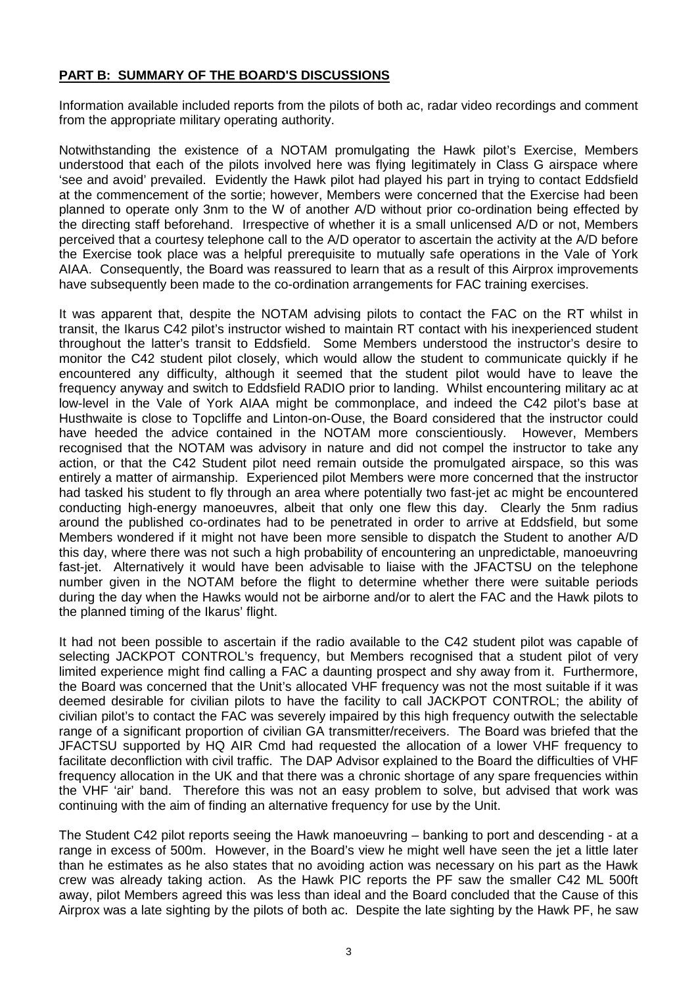## **PART B: SUMMARY OF THE BOARD'S DISCUSSIONS**

Information available included reports from the pilots of both ac, radar video recordings and comment from the appropriate military operating authority.

Notwithstanding the existence of a NOTAM promulgating the Hawk pilot's Exercise, Members understood that each of the pilots involved here was flying legitimately in Class G airspace where 'see and avoid' prevailed. Evidently the Hawk pilot had played his part in trying to contact Eddsfield at the commencement of the sortie; however, Members were concerned that the Exercise had been planned to operate only 3nm to the W of another A/D without prior co-ordination being effected by the directing staff beforehand. Irrespective of whether it is a small unlicensed A/D or not, Members perceived that a courtesy telephone call to the A/D operator to ascertain the activity at the A/D before the Exercise took place was a helpful prerequisite to mutually safe operations in the Vale of York AIAA. Consequently, the Board was reassured to learn that as a result of this Airprox improvements have subsequently been made to the co-ordination arrangements for FAC training exercises.

It was apparent that, despite the NOTAM advising pilots to contact the FAC on the RT whilst in transit, the Ikarus C42 pilot's instructor wished to maintain RT contact with his inexperienced student throughout the latter's transit to Eddsfield. Some Members understood the instructor's desire to monitor the C42 student pilot closely, which would allow the student to communicate quickly if he encountered any difficulty, although it seemed that the student pilot would have to leave the frequency anyway and switch to Eddsfield RADIO prior to landing. Whilst encountering military ac at low-level in the Vale of York AIAA might be commonplace, and indeed the C42 pilot's base at Husthwaite is close to Topcliffe and Linton-on-Ouse, the Board considered that the instructor could have heeded the advice contained in the NOTAM more conscientiously. However, Members recognised that the NOTAM was advisory in nature and did not compel the instructor to take any action, or that the C42 Student pilot need remain outside the promulgated airspace, so this was entirely a matter of airmanship. Experienced pilot Members were more concerned that the instructor had tasked his student to fly through an area where potentially two fast-jet ac might be encountered conducting high-energy manoeuvres, albeit that only one flew this day. Clearly the 5nm radius around the published co-ordinates had to be penetrated in order to arrive at Eddsfield, but some Members wondered if it might not have been more sensible to dispatch the Student to another A/D this day, where there was not such a high probability of encountering an unpredictable, manoeuvring fast-jet. Alternatively it would have been advisable to liaise with the JFACTSU on the telephone number given in the NOTAM before the flight to determine whether there were suitable periods during the day when the Hawks would not be airborne and/or to alert the FAC and the Hawk pilots to the planned timing of the Ikarus' flight.

It had not been possible to ascertain if the radio available to the C42 student pilot was capable of selecting JACKPOT CONTROL's frequency, but Members recognised that a student pilot of very limited experience might find calling a FAC a daunting prospect and shy away from it. Furthermore, the Board was concerned that the Unit's allocated VHF frequency was not the most suitable if it was deemed desirable for civilian pilots to have the facility to call JACKPOT CONTROL; the ability of civilian pilot's to contact the FAC was severely impaired by this high frequency outwith the selectable range of a significant proportion of civilian GA transmitter/receivers. The Board was briefed that the JFACTSU supported by HQ AIR Cmd had requested the allocation of a lower VHF frequency to facilitate deconfliction with civil traffic. The DAP Advisor explained to the Board the difficulties of VHF frequency allocation in the UK and that there was a chronic shortage of any spare frequencies within the VHF 'air' band. Therefore this was not an easy problem to solve, but advised that work was continuing with the aim of finding an alternative frequency for use by the Unit.

The Student C42 pilot reports seeing the Hawk manoeuvring – banking to port and descending - at a range in excess of 500m. However, in the Board's view he might well have seen the jet a little later than he estimates as he also states that no avoiding action was necessary on his part as the Hawk crew was already taking action. As the Hawk PIC reports the PF saw the smaller C42 ML 500ft away, pilot Members agreed this was less than ideal and the Board concluded that the Cause of this Airprox was a late sighting by the pilots of both ac. Despite the late sighting by the Hawk PF, he saw